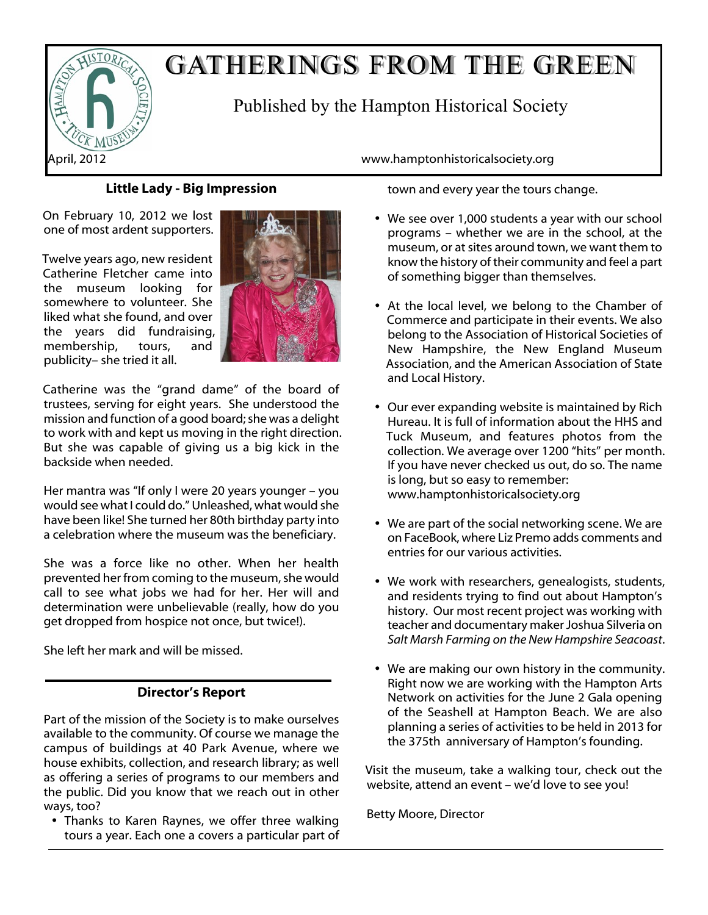

# GATHERINGS FROM THE GREEN

Published by the Hampton Historical Society

# **Little Lady - Big Impression**

On February 10, 2012 we lost one of most ardent supporters.

Twelve years ago, new resident Catherine Fletcher came into the museum looking for somewhere to volunteer. She liked what she found, and over the years did fundraising, membership, tours, and publicity– she tried it all.



Catherine was the "grand dame" of the board of trustees, serving for eight years. She understood the mission and function of a good board; she was a delight to work with and kept us moving in the right direction. But she was capable of giving us a big kick in the backside when needed.

Her mantra was "If only I were 20 years younger – you would see what I could do." Unleashed, what would she have been like! She turned her 80th birthday party into a celebration where the museum was the beneficiary.

She was a force like no other. When her health prevented her from coming to the museum, she would call to see what jobs we had for her. Her will and determination were unbelievable (really, how do you get dropped from hospice not once, but twice!).

She left her mark and will be missed.

# **Director's Report**

Part of the mission of the Society is to make ourselves available to the community. Of course we manage the campus of buildings at 40 Park Avenue, where we house exhibits, collection, and research library; as well as offering a series of programs to our members and the public. Did you know that we reach out in other ways, too?

• Thanks to Karen Raynes, we offer three walking tours a year. Each one a covers a particular part of

town and every year the tours change.

- We see over 1,000 students a year with our school programs – whether we are in the school, at the museum, or at sites around town, we want them to know the history of their community and feel a part of something bigger than themselves.
- At the local level, we belong to the Chamber of Commerce and participate in their events. We also belong to the Association of Historical Societies of New Hampshire, the New England Museum Association, and the American Association of State and Local History.
- Our ever expanding website is maintained by Rich Hureau. It is full of information about the HHS and Tuck Museum, and features photos from the collection. We average over 1200 "hits" per month. If you have never checked us out, do so. The name is long, but so easy to remember: www.hamptonhistoricalsociety.org
- We are part of the social networking scene. We are on FaceBook, where Liz Premo adds comments and entries for our various activities.
- We work with researchers, genealogists, students, and residents trying to find out about Hampton's history. Our most recent project was working with teacher and documentary maker Joshua Silveria on *Salt Marsh Farming on the New Hampshire Seacoast*.
- ü We are making our own history in the community. Right now we are working with the Hampton Arts Network on activities for the June 2 Gala opening of the Seashell at Hampton Beach. We are also planning a series of activities to be held in 2013 for the 375th anniversary of Hampton's founding.

Visit the museum, take a walking tour, check out the website, attend an event – we'd love to see you!

Betty Moore, Director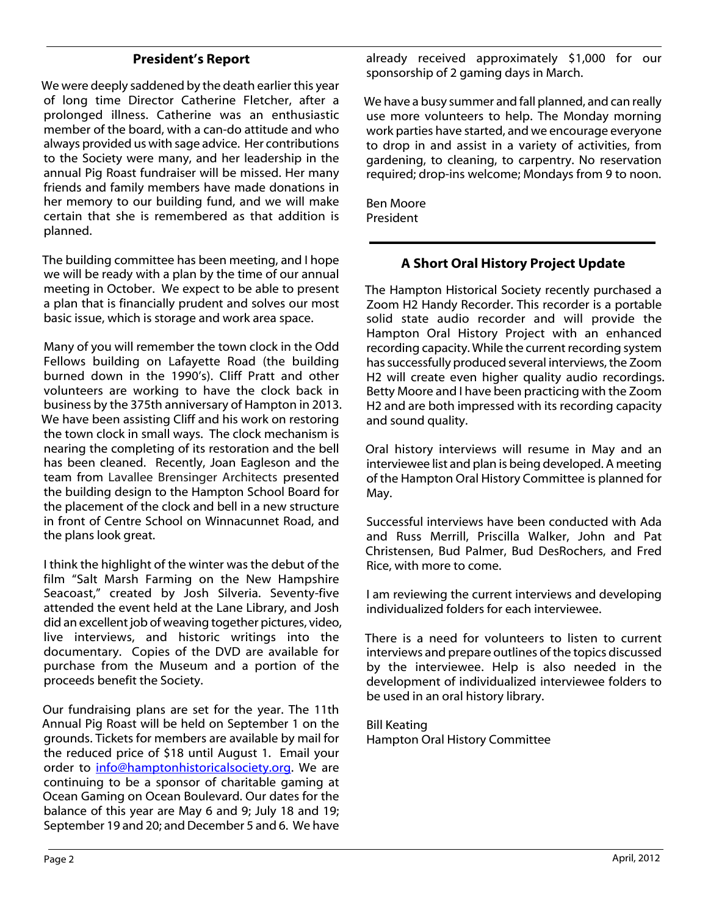# **President's Report**

We were deeply saddened by the death earlier this year of long time Director Catherine Fletcher, after a prolonged illness. Catherine was an enthusiastic member of the board, with a can-do attitude and who always provided us with sage advice. Her contributions to the Society were many, and her leadership in the annual Pig Roast fundraiser will be missed. Her many friends and family members have made donations in her memory to our building fund, and we will make certain that she is remembered as that addition is planned.

The building committee has been meeting, and I hope we will be ready with a plan by the time of our annual meeting in October. We expect to be able to present a plan that is financially prudent and solves our most basic issue, which is storage and work area space.

Many of you will remember the town clock in the Odd Fellows building on Lafayette Road (the building burned down in the 1990's). Cliff Pratt and other volunteers are working to have the clock back in business by the 375th anniversary of Hampton in 2013. We have been assisting Cliff and his work on restoring the town clock in small ways. The clock mechanism is nearing the completing of its restoration and the bell has been cleaned. Recently, Joan Eagleson and the team from Lavallee Brensinger Architects presented the building design to the Hampton School Board for the placement of the clock and bell in a new structure in front of Centre School on Winnacunnet Road, and the plans look great.

I think the highlight of the winter was the debut of the film "Salt Marsh Farming on the New Hampshire Seacoast," created by Josh Silveria. Seventy-five attended the event held at the Lane Library, and Josh did an excellent job of weaving together pictures, video, live interviews, and historic writings into the documentary. Copies of the DVD are available for purchase from the Museum and a portion of the proceeds benefit the Society.

Our fundraising plans are set for the year. The 11th Annual Pig Roast will be held on September 1 on the grounds. Tickets for members are available by mail for the reduced price of \$18 until August 1. Email your order to info@hamptonhistoricalsociety.org. We are continuing to be a sponsor of charitable gaming at Ocean Gaming on Ocean Boulevard. Our dates for the balance of this year are May 6 and 9; July 18 and 19; September 19 and 20; and December 5 and 6. We have

already received approximately \$1,000 for our sponsorship of 2 gaming days in March.

We have a busy summer and fall planned, and can really use more volunteers to help. The Monday morning work parties have started, and we encourage everyone to drop in and assist in a variety of activities, from gardening, to cleaning, to carpentry. No reservation required; drop-ins welcome; Mondays from 9 to noon.

Ben Moore President

# **A Short Oral History Project Update**

The Hampton Historical Society recently purchased a Zoom H2 Handy Recorder. This recorder is a portable solid state audio recorder and will provide the Hampton Oral History Project with an enhanced recording capacity. While the current recording system has successfully produced several interviews, the Zoom H2 will create even higher quality audio recordings. Betty Moore and I have been practicing with the Zoom H2 and are both impressed with its recording capacity and sound quality.

Oral history interviews will resume in May and an interviewee list and plan is being developed. A meeting of the Hampton Oral History Committee is planned for May.

Successful interviews have been conducted with Ada and Russ Merrill, Priscilla Walker, John and Pat Christensen, Bud Palmer, Bud DesRochers, and Fred Rice, with more to come.

I am reviewing the current interviews and developing individualized folders for each interviewee.

There is a need for volunteers to listen to current interviews and prepare outlines of the topics discussed by the interviewee. Help is also needed in the development of individualized interviewee folders to be used in an oral history library.

Bill Keating Hampton Oral History Committee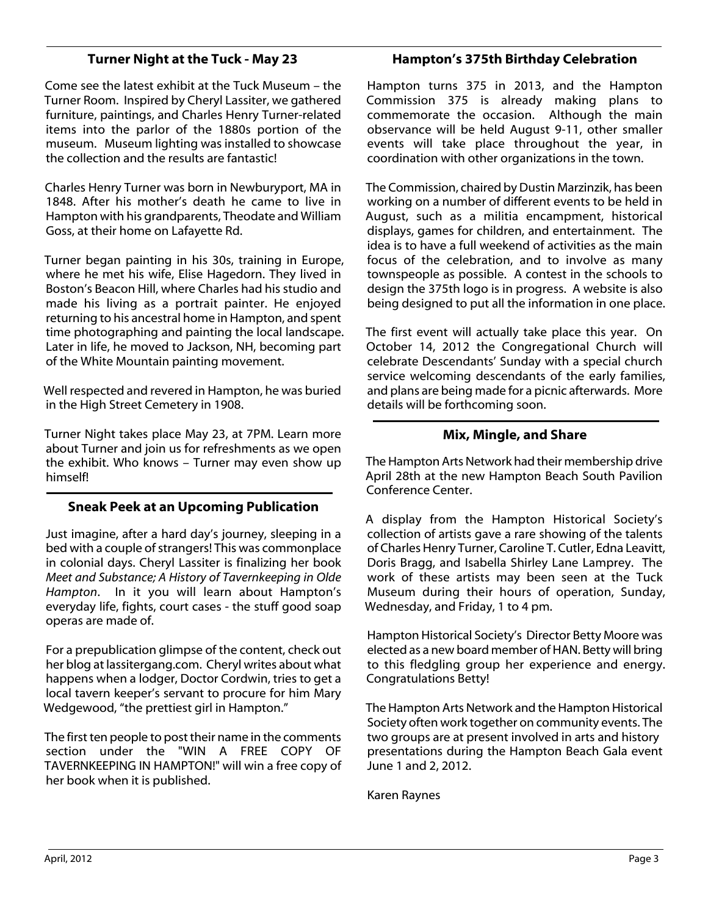# **Turner Night at the Tuck - May 23**

Come see the latest exhibit at the Tuck Museum – the Turner Room. Inspired by Cheryl Lassiter, we gathered furniture, paintings, and Charles Henry Turner-related items into the parlor of the 1880s portion of the museum. Museum lighting was installed to showcase the collection and the results are fantastic!

Charles Henry Turner was born in Newburyport, MA in 1848. After his mother's death he came to live in Hampton with his grandparents, Theodate and William Goss, at their home on Lafayette Rd.

Turner began painting in his 30s, training in Europe, where he met his wife, Elise Hagedorn. They lived in Boston's Beacon Hill, where Charles had his studio and made his living as a portrait painter. He enjoyed returning to his ancestral home in Hampton, and spent time photographing and painting the local landscape. Later in life, he moved to Jackson, NH, becoming part of the White Mountain painting movement.

Well respected and revered in Hampton, he was buried in the High Street Cemetery in 1908.

Turner Night takes place May 23, at 7PM. Learn more about Turner and join us for refreshments as we open the exhibit. Who knows – Turner may even show up himself!

# **Sneak Peek at an Upcoming Publication**

Just imagine, after a hard day's journey, sleeping in a bed with a couple of strangers! This was commonplace in colonial days. Cheryl Lassiter is finalizing her book *Meet and Substance; A History of Tavernkeeping in Olde Hampton*. In it you will learn about Hampton's everyday life, fights, court cases - the stuff good soap operas are made of.

For a prepublication glimpse of the content, check out her blog at lassitergang.com. Cheryl writes about what happens when a lodger, Doctor Cordwin, tries to get a local tavern keeper's servant to procure for him Mary Wedgewood, "the prettiest girl in Hampton."

The first ten people to post their name in the comments section under the "WIN A FREE COPY OF TAVERNKEEPING IN HAMPTON!" will win a free copy of her book when it is published.

# **Hampton's 375th Birthday Celebration**

Hampton turns 375 in 2013, and the Hampton Commission 375 is already making plans to commemorate the occasion. Although the main observance will be held August 9-11, other smaller events will take place throughout the year, in coordination with other organizations in the town.

The Commission, chaired by Dustin Marzinzik, has been working on a number of different events to be held in August, such as a militia encampment, historical displays, games for children, and entertainment. The idea is to have a full weekend of activities as the main focus of the celebration, and to involve as many townspeople as possible. A contest in the schools to design the 375th logo is in progress. A website is also being designed to put all the information in one place.

The first event will actually take place this year. On October 14, 2012 the Congregational Church will celebrate Descendants' Sunday with a special church service welcoming descendants of the early families, and plans are being made for a picnic afterwards. More details will be forthcoming soon.

# **Mix, Mingle, and Share**

The Hampton Arts Network had their membership drive April 28th at the new Hampton Beach South Pavilion Conference Center.

A display from the Hampton Historical Society's collection of artists gave a rare showing of the talents of Charles Henry Turner, Caroline T. Cutler, Edna Leavitt, Doris Bragg, and Isabella Shirley Lane Lamprey. The work of these artists may been seen at the Tuck Museum during their hours of operation, Sunday, Wednesday, and Friday, 1 to 4 pm.

Hampton Historical Society's Director Betty Moore was elected as a new board member of HAN. Betty will bring to this fledgling group her experience and energy. Congratulations Betty!

The Hampton Arts Network and the Hampton Historical Society often work together on community events. The two groups are at present involved in arts and history presentations during the Hampton Beach Gala event June 1 and 2, 2012.

Karen Raynes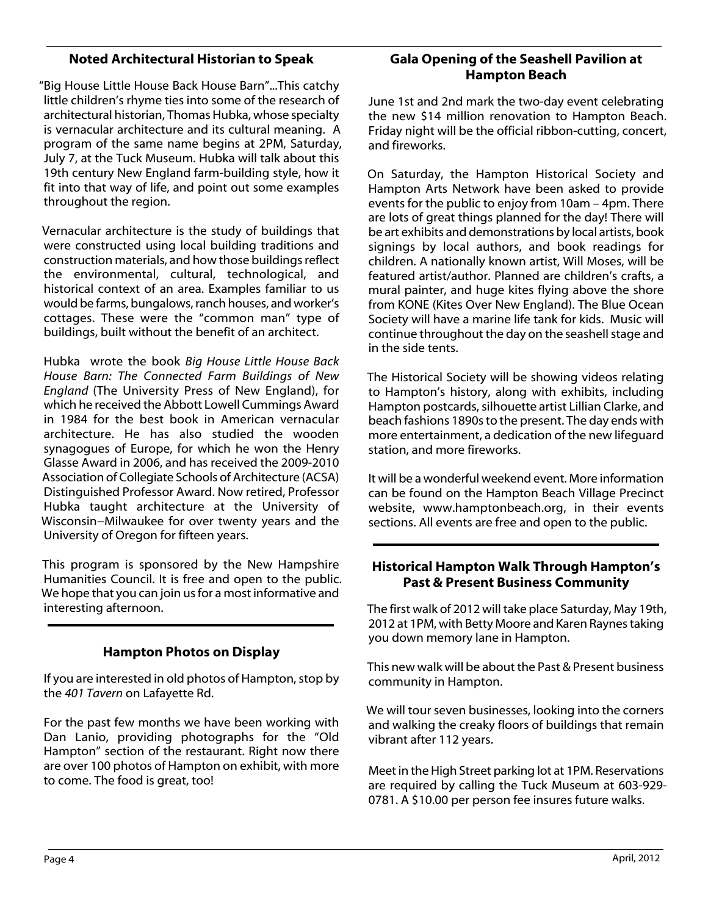# **Noted Architectural Historian to Speak**

"Big House Little House Back House Barn"...This catchy little children's rhyme ties into some of the research of architectural historian, Thomas Hubka, whose specialty is vernacular architecture and its cultural meaning. A program of the same name begins at 2PM, Saturday, July 7, at the Tuck Museum. Hubka will talk about this 19th century New England farm-building style, how it fit into that way of life, and point out some examples throughout the region.

Vernacular architecture is the study of buildings that were constructed using local building traditions and construction materials, and how those buildings reflect the environmental, cultural, technological, and historical context of an area. Examples familiar to us would be farms, bungalows, ranch houses, and worker's cottages. These were the "common man" type of buildings, built without the benefit of an architect.

Hubka wrote the book *Big House Little House Back House Barn: The Connected Farm Buildings of New England* (The University Press of New England), for which he received the Abbott Lowell Cummings Award in 1984 for the best book in American vernacular architecture. He has also studied the wooden synagogues of Europe, for which he won the Henry Glasse Award in 2006, and has received the 2009-2010 Association of Collegiate Schools of Architecture (ACSA) Distinguished Professor Award. Now retired, Professor Hubka taught architecture at the University of Wisconsin−Milwaukee for over twenty years and the University of Oregon for fifteen years.

This program is sponsored by the New Hampshire Humanities Council. It is free and open to the public. We hope that you can join us for a most informative and interesting afternoon.

# **Hampton Photos on Display**

If you are interested in old photos of Hampton, stop by the *401 Tavern* on Lafayette Rd.

For the past few months we have been working with Dan Lanio, providing photographs for the "Old Hampton" section of the restaurant. Right now there are over 100 photos of Hampton on exhibit, with more to come. The food is great, too!

# **Gala Opening of the Seashell Pavilion at Hampton Beach**

June 1st and 2nd mark the two-day event celebrating the new \$14 million renovation to Hampton Beach. Friday night will be the official ribbon-cutting, concert, and fireworks.

On Saturday, the Hampton Historical Society and Hampton Arts Network have been asked to provide events for the public to enjoy from 10am – 4pm. There are lots of great things planned for the day! There will be art exhibits and demonstrations by local artists, book signings by local authors, and book readings for children. A nationally known artist, Will Moses, will be featured artist/author. Planned are children's crafts, a mural painter, and huge kites flying above the shore from KONE (Kites Over New England). The Blue Ocean Society will have a marine life tank for kids. Music will continue throughout the day on the seashell stage and in the side tents.

The Historical Society will be showing videos relating to Hampton's history, along with exhibits, including Hampton postcards, silhouette artist Lillian Clarke, and beach fashions 1890s to the present. The day ends with more entertainment, a dedication of the new lifeguard station, and more fireworks.

It will be a wonderful weekend event. More information can be found on the Hampton Beach Village Precinct website, www.hamptonbeach.org, in their events sections. All events are free and open to the public.

# **Historical Hampton Walk Through Hampton's Past & Present Business Community**

The first walk of 2012 will take place Saturday, May 19th, 2012 at 1PM, with Betty Moore and Karen Raynes taking you down memory lane in Hampton.

This new walk will be about the Past & Present business community in Hampton.

We will tour seven businesses, looking into the corners and walking the creaky floors of buildings that remain vibrant after 112 years.

Meet in the High Street parking lot at 1PM. Reservations are required by calling the Tuck Museum at 603-929- 0781. A \$10.00 per person fee insures future walks.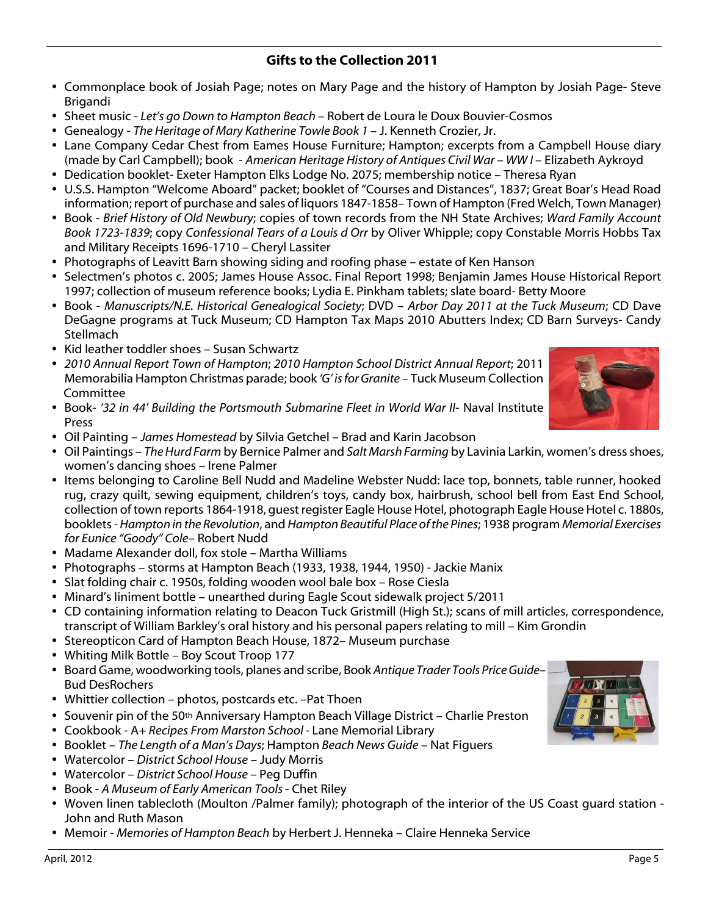# **Gifts to the Collection 2011**

- Commonplace book of Josiah Page; notes on Mary Page and the history of Hampton by Josiah Page- Steve Brigandi
- ü Sheet music *Let's go Down to Hampton Beach* Robert de Loura le Doux Bouvier-Cosmos
- ü Genealogy *The Heritage of Mary Katherine Towle Book 1* J. Kenneth Crozier, Jr.
- Lane Company Cedar Chest from Eames House Furniture; Hampton; excerpts from a Campbell House diary (made by Carl Campbell); book - *American Heritage History of Antiques Civil War – WW I* – Elizabeth Aykroyd
- ü Dedication booklet- Exeter Hampton Elks Lodge No. 2075; membership notice Theresa Ryan
- U.S.S. Hampton "Welcome Aboard" packet; booklet of "Courses and Distances", 1837; Great Boar's Head Road information; report of purchase and sales of liquors 1847-1858– Town of Hampton (Fred Welch, Town Manager)
- ü Book *Brief History of Old Newbury*; copies of town records from the NH State Archives; *Ward Family Account Book 1723-1839*; copy *Confessional Tears of a Louis d Orr* by Oliver Whipple; copy Constable Morris Hobbs Tax and Military Receipts 1696-1710 – Cheryl Lassiter
- Photographs of Leavitt Barn showing siding and roofing phase estate of Ken Hanson
- ü Selectmen's photos c. 2005; James House Assoc. Final Report 1998; Benjamin James House Historical Report 1997; collection of museum reference books; Lydia E. Pinkham tablets; slate board- Betty Moore
- ü Book *Manuscripts/N.E. Historical Genealogical Society*; DVD *Arbor Day 2011 at the Tuck Museum*; CD Dave DeGagne programs at Tuck Museum; CD Hampton Tax Maps 2010 Abutters Index; CD Barn Surveys- Candy **Stellmach**
- Kid leather toddler shoes Susan Schwartz
- ü *2010 Annual Report Town of Hampton*; *2010 Hampton School District Annual Report*; 2011 Memorabilia Hampton Christmas parade; book *'G' is for Granite* – Tuck Museum Collection Committee
- ü Book- *'32 in 44' Building the Portsmouth Submarine Fleet in World War II* Naval Institute Press
- ü Oil Painting *James Homestead* by Silvia Getchel Brad and Karin Jacobson
- ü Oil Paintings *The Hurd Farm* by Bernice Palmer and *Salt Marsh Farming* by Lavinia Larkin, women's dress shoes, women's dancing shoes – Irene Palmer
- Items belonging to Caroline Bell Nudd and Madeline Webster Nudd: lace top, bonnets, table runner, hooked rug, crazy quilt, sewing equipment, children's toys, candy box, hairbrush, school bell from East End School, collection of town reports 1864-1918, guest register Eagle House Hotel, photograph Eagle House Hotel c. 1880s, booklets *- Hampton in the Revolution*, and *Hampton Beautiful Place of the Pines*; 1938 program *Memorial Exercises for Eunice "Goody" Cole*– Robert Nudd
- Madame Alexander doll, fox stole Martha Williams
- ü Photographs storms at Hampton Beach (1933, 1938, 1944, 1950) Jackie Manix
- Slat folding chair c. 1950s, folding wooden wool bale box Rose Ciesla
- Minard's liniment bottle unearthed during Eagle Scout sidewalk project 5/2011
- ü CD containing information relating to Deacon Tuck Gristmill (High St.); scans of mill articles, correspondence, transcript of William Barkley's oral history and his personal papers relating to mill – Kim Grondin
- Stereopticon Card of Hampton Beach House, 1872– Museum purchase
- Whiting Milk Bottle Boy Scout Troop 177
- ü Board Game, woodworking tools, planes and scribe, Book *Antique Trader Tools Price Guide* Bud DesRochers
- Whittier collection photos, postcards etc. –Pat Thoen
- **Souvenir pin of the 50th Anniversary Hampton Beach Village District Charlie Preston**
- ü Cookbook A*+ Recipes From Marston School -* Lane Memorial Library
- ü Booklet *The Length of a Man's Days*; Hampton *Beach News Guide* Nat Figuers
- ü Watercolor *District School House* Judy Morris
- ü Watercolor *District School House* Peg Duffin
- ü Book *A Museum of Early American Tools* Chet Riley
- ü Woven linen tablecloth (Moulton /Palmer family); photograph of the interior of the US Coast guard station John and Ruth Mason
- ü Memoir *Memories of Hampton Beach* by Herbert J. Henneka Claire Henneka Service



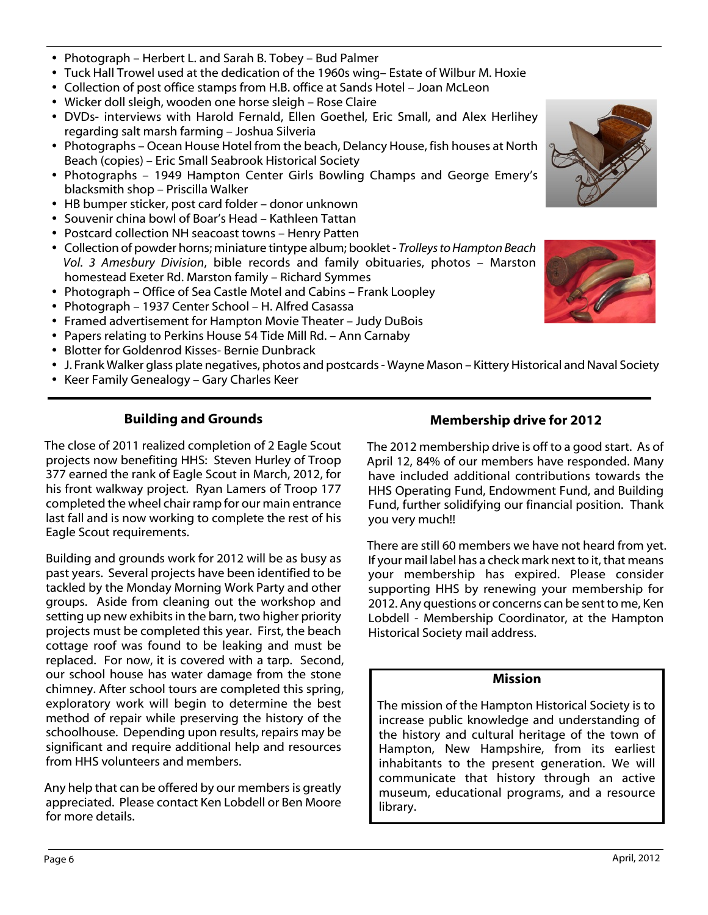- Photograph Herbert L. and Sarah B. Tobey Bud Palmer
- Tuck Hall Trowel used at the dedication of the 1960s wing– Estate of Wilbur M. Hoxie
- ü Collection of post office stamps from H.B. office at Sands Hotel Joan McLeon
- ü Wicker doll sleigh, wooden one horse sleigh Rose Claire
- ü DVDs- interviews with Harold Fernald, Ellen Goethel, Eric Small, and Alex Herlihey regarding salt marsh farming – Joshua Silveria
- Photographs Ocean House Hotel from the beach, Delancy House, fish houses at North Beach (copies) – Eric Small Seabrook Historical Society
- Photographs 1949 Hampton Center Girls Bowling Champs and George Emery's blacksmith shop – Priscilla Walker
- HB bumper sticker, post card folder donor unknown
- Souvenir china bowl of Boar's Head Kathleen Tattan
- Postcard collection NH seacoast towns Henry Patten
- ü Collection of powder horns; miniature tintype album; booklet *Trolleys to Hampton Beach Vol. 3 Amesbury Division*, bible records and family obituaries, photos – Marston homestead Exeter Rd. Marston family – Richard Symmes
- Photograph Office of Sea Castle Motel and Cabins Frank Loopley
- Photograph 1937 Center School H. Alfred Casassa
- Framed advertisement for Hampton Movie Theater Judy DuBois
- Papers relating to Perkins House 54 Tide Mill Rd. Ann Carnaby
- **Blotter for Goldenrod Kisses- Bernie Dunbrack**
- ü J. Frank Walker glass plate negatives, photos and postcards Wayne Mason Kittery Historical and Naval Society
- Keer Family Genealogy Gary Charles Keer

# **Building and Grounds**

The close of 2011 realized completion of 2 Eagle Scout projects now benefiting HHS: Steven Hurley of Troop 377 earned the rank of Eagle Scout in March, 2012, for his front walkway project. Ryan Lamers of Troop 177 completed the wheel chair ramp for our main entrance last fall and is now working to complete the rest of his Eagle Scout requirements.

Building and grounds work for 2012 will be as busy as past years. Several projects have been identified to be tackled by the Monday Morning Work Party and other groups. Aside from cleaning out the workshop and setting up new exhibits in the barn, two higher priority projects must be completed this year. First, the beach cottage roof was found to be leaking and must be replaced. For now, it is covered with a tarp. Second, our school house has water damage from the stone chimney. After school tours are completed this spring, exploratory work will begin to determine the best method of repair while preserving the history of the schoolhouse. Depending upon results, repairs may be significant and require additional help and resources from HHS volunteers and members.

Any help that can be offered by our members is greatly appreciated. Please contact Ken Lobdell or Ben Moore for more details.

# **Membership drive for 2012**

The 2012 membership drive is off to a good start. As of April 12, 84% of our members have responded. Many have included additional contributions towards the HHS Operating Fund, Endowment Fund, and Building Fund, further solidifying our financial position. Thank you very much!!

There are still 60 members we have not heard from yet. If your mail label has a check mark next to it, that means your membership has expired. Please consider supporting HHS by renewing your membership for 2012. Any questions or concerns can be sent to me, Ken Lobdell - Membership Coordinator, at the Hampton Historical Society mail address.

## **Mission**

The mission of the Hampton Historical Society is to increase public knowledge and understanding of the history and cultural heritage of the town of Hampton, New Hampshire, from its earliest inhabitants to the present generation. We will communicate that history through an active museum, educational programs, and a resource library.



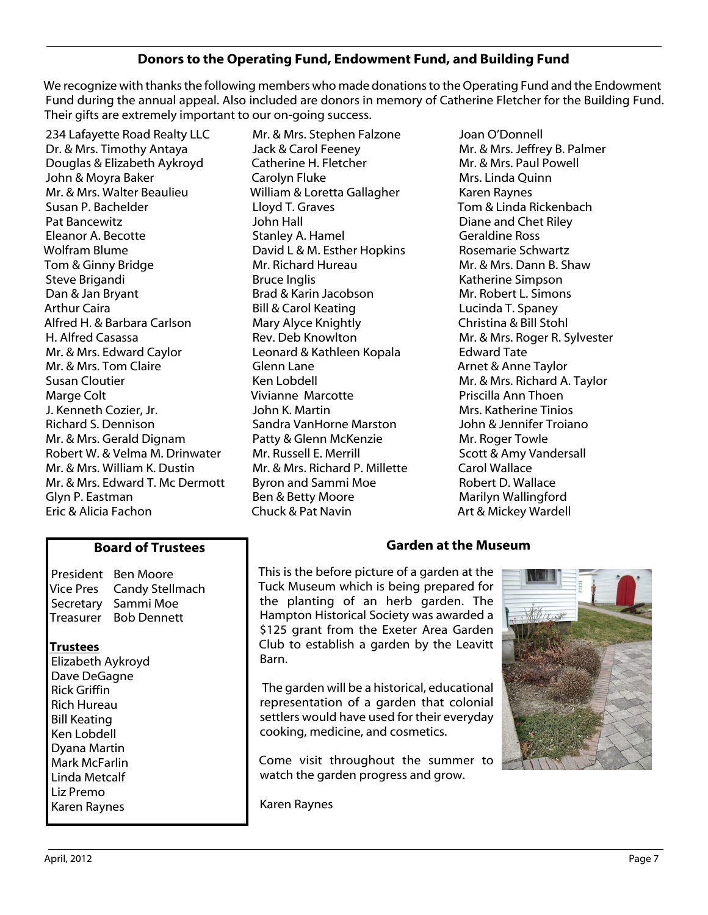# **Donors to the Operating Fund, Endowment Fund, and Building Fund**

We recognize with thanks the following members who made donations to the Operating Fund and the Endowment Fund during the annual appeal. Also included are donors in memory of Catherine Fletcher for the Building Fund. Their gifts are extremely important to our on-going success.

234 Lafayette Road Realty LLC Dr. & Mrs. Timothy Antaya Douglas & Elizabeth Aykroyd John & Moyra Baker Mr. & Mrs. Walter Beaulieu Susan P. Bachelder Pat Bancewitz Eleanor A. Becotte Wolfram Blume Tom & Ginny Bridge Steve Brigandi Dan & Jan Bryant Arthur Caira Alfred H. & Barbara Carlson H. Alfred Casassa Mr. & Mrs. Edward Caylor Mr. & Mrs. Tom Claire Susan Cloutier Marge Colt J. Kenneth Cozier, Jr. Richard S. Dennison Mr. & Mrs. Gerald Dignam Robert W. & Velma M. Drinwater Mr. & Mrs. William K. Dustin Mr. & Mrs. Edward T. Mc Dermott Glyn P. Eastman Eric & Alicia Fachon

# **Board of Trustees**

President Ben Moore Vice Pres Candy Stellmach Secretary Sammi Moe Treasurer Bob Dennett

#### **Trustees**

Elizabeth Aykroyd Dave DeGagne Rick Griffin Rich Hureau Bill Keating Ken Lobdell Dyana Martin Mark McFarlin Linda Metcalf Liz Premo Karen Raynes

Mr. & Mrs. Stephen Falzone Jack & Carol Feeney Catherine H. Fletcher Carolyn Fluke William & Loretta Gallagher Lloyd T. Graves John Hall Stanley A. Hamel David L & M. Esther Hopkins Mr. Richard Hureau Bruce Inglis Brad & Karin Jacobson Bill & Carol Keating Mary Alyce Knightly Rev. Deb Knowlton Leonard & Kathleen Kopala Glenn Lane Ken Lobdell Vivianne Marcotte John K. Martin Sandra VanHorne Marston Patty & Glenn McKenzie Mr. Russell E. Merrill Mr. & Mrs. Richard P. Millette Byron and Sammi Moe Ben & Betty Moore Chuck & Pat Navin

Joan O'Donnell Mr. & Mrs. Jeffrey B. Palmer Mr. & Mrs. Paul Powell Mrs. Linda Quinn Karen Raynes Tom & Linda Rickenbach Diane and Chet Riley Geraldine Ross Rosemarie Schwartz Mr. & Mrs. Dann B. Shaw Katherine Simpson Mr. Robert L. Simons Lucinda T. Spaney Christina & Bill Stohl Mr. & Mrs. Roger R. Sylvester Edward Tate Arnet & Anne Taylor Mr. & Mrs. Richard A. Taylor Priscilla Ann Thoen Mrs. Katherine Tinios John & Jennifer Troiano Mr. Roger Towle Scott & Amy Vandersall Carol Wallace Robert D. Wallace Marilyn Wallingford Art & Mickey Wardell

# **Garden at the Museum**

This is the before picture of a garden at the Tuck Museum which is being prepared for the planting of an herb garden. The Hampton Historical Society was awarded a \$125 grant from the Exeter Area Garden Club to establish a garden by the Leavitt Barn.

 The garden will be a historical, educational representation of a garden that colonial settlers would have used for their everyday cooking, medicine, and cosmetics.

Come visit throughout the summer to watch the garden progress and grow.

Karen Raynes